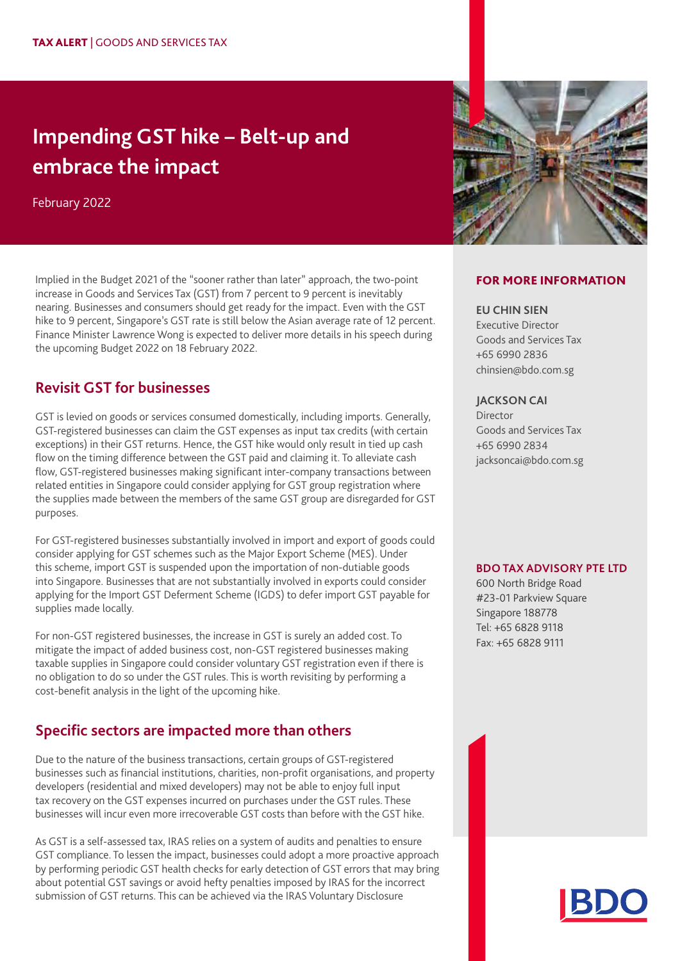# **Impending GST hike – Belt-up and embrace the impact**

February 2022

Implied in the Budget 2021 of the "sooner rather than later" approach, the two-point increase in Goods and Services Tax (GST) from 7 percent to 9 percent is inevitably nearing. Businesses and consumers should get ready for the impact. Even with the GST hike to 9 percent, Singapore's GST rate is still below the Asian average rate of 12 percent. Finance Minister Lawrence Wong is expected to deliver more details in his speech during the upcoming Budget 2022 on 18 February 2022.

## **Revisit GST for businesses**

GST is levied on goods or services consumed domestically, including imports. Generally, GST-registered businesses can claim the GST expenses as input tax credits (with certain exceptions) in their GST returns. Hence, the GST hike would only result in tied up cash flow on the timing difference between the GST paid and claiming it. To alleviate cash flow, GST-registered businesses making significant inter-company transactions between related entities in Singapore could consider applying for GST group registration where the supplies made between the members of the same GST group are disregarded for GST purposes.

For GST-registered businesses substantially involved in import and export of goods could consider applying for GST schemes such as the Major Export Scheme (MES). Under this scheme, import GST is suspended upon the importation of non-dutiable goods into Singapore. Businesses that are not substantially involved in exports could consider applying for the Import GST Deferment Scheme (IGDS) to defer import GST payable for supplies made locally.

For non-GST registered businesses, the increase in GST is surely an added cost. To mitigate the impact of added business cost, non-GST registered businesses making taxable supplies in Singapore could consider voluntary GST registration even if there is no obligation to do so under the GST rules. This is worth revisiting by performing a cost-benefit analysis in the light of the upcoming hike.

# **Specific sectors are impacted more than others**

Due to the nature of the business transactions, certain groups of GST-registered businesses such as financial institutions, charities, non-profit organisations, and property developers (residential and mixed developers) may not be able to enjoy full input tax recovery on the GST expenses incurred on purchases under the GST rules. These businesses will incur even more irrecoverable GST costs than before with the GST hike.

As GST is a self-assessed tax, IRAS relies on a system of audits and penalties to ensure GST compliance. To lessen the impact, businesses could adopt a more proactive approach by performing periodic GST health checks for early detection of GST errors that may bring about potential GST savings or avoid hefty penalties imposed by IRAS for the incorrect submission of GST returns. This can be achieved via the IRAS Voluntary Disclosure



#### FOR MORE INFORMATION

#### **EU CHIN SIEN**

Executive Director Goods and Services Tax +65 6990 2836 chinsien@bdo.com.sg

#### **JACKSON CAI**

**Director** Goods and Services Tax +65 6990 2834 jacksoncai@bdo.com.sg

#### **BDO TAX ADVISORY PTE LTD**

600 North Bridge Road #23-01 Parkview Square Singapore 188778 Tel: +65 6828 9118 Fax: +65 6828 9111